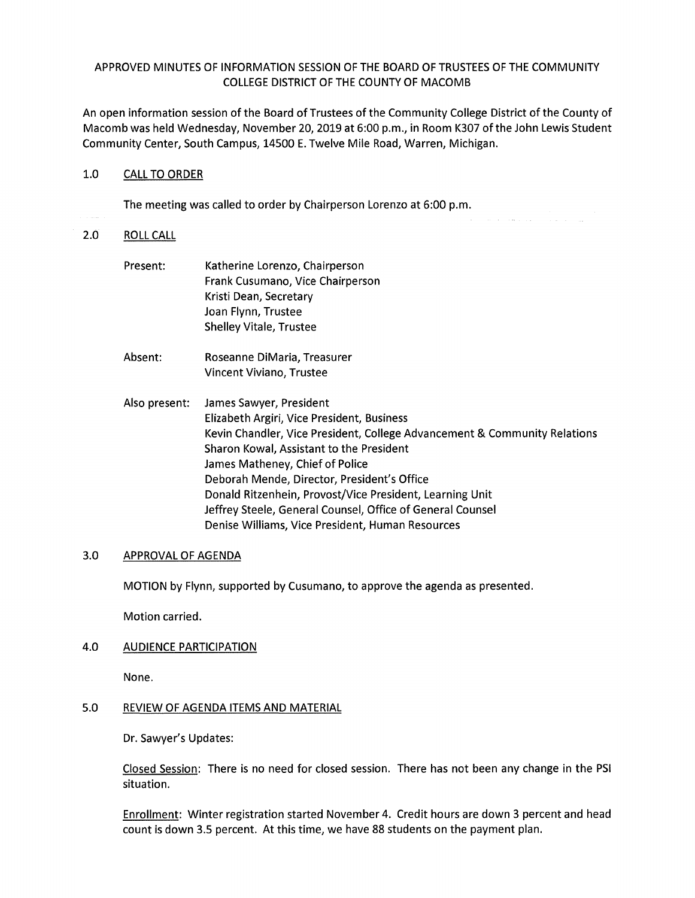# APPROVED MINUTES OF INFORMATION SESSION OF THE BOARD OF TRUSTEES OF THE COMMUNITY COLLEGE DISTRICT OF THE COUNTY OF MACOMB

An open information session of the Board of Trustees of the Community College District of the County of Macomb was held Wednesday, November 20, 2019 at 6:00 p.m., in Room K307 of the John Lewis Student Community Center, South Campus, 14500 E. Twelve Mile Road, Warren, Michigan.

### 1.0 CALL TO ORDER

The meeting was called to order by Chairperson Lorenzo at 6:00 p.m.

### 2.0 ROLL CALL

- Present: Katherine Lorenzo, Chairperson Frank Cusumano, Vice Chairperson Kristi Dean, Secretary Joan Flynn, Trustee Shelley Vitale, Trustee
- Absent: Roseanne DiMaria, Treasurer Vincent Viviano, Trustee
- Also present: James Sawyer, President Elizabeth Argiri, Vice President, Business Kevin Chandler, Vice President, College Advancement & Community Relations Sharon Kowal, Assistant to the President James Matheney, Chief of Police Deborah Mende, Director, President's Office Donald Ritzenhein, Provost/Vice President, Learning Unit Jeffrey Steele, General Counsel, Office of General Counsel Denise Williams, Vice President, Human Resources

# 3.0 APPROVAL OF AGENDA

MOTION by Flynn, supported by Cusumano, to approve the agenda as presented.

Motion carried.

4.0 AUDIENCE PARTICIPATION

None.

#### 5.0 REVIEW OF AGENDA ITEMS AND MATERIAL

Dr. Sawyer's Updates:

Closed Session: There is no need for closed session. There has not been any change in the PSI situation.

Enrollment: Winter registration started November 4. Credit hours are down 3 percent and head count is down 3.5 percent. At this time, we have 88 students on the payment plan.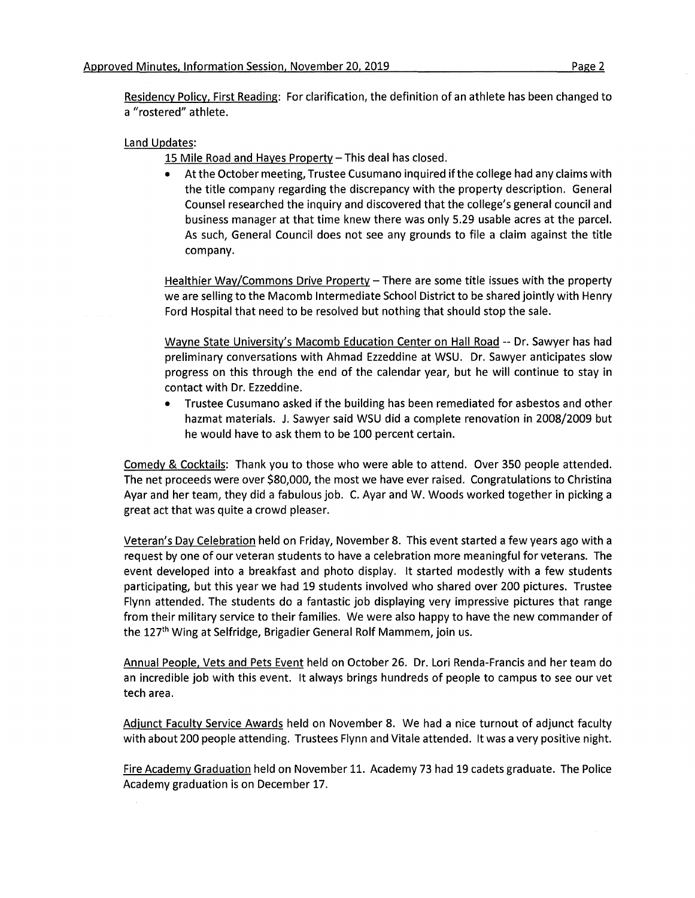Residency Policy, First Reading: For clarification, the definition of an athlete has been changed to a "rostered" athlete.

#### Land Updates:

15 Mile Road and Hayes Property- This deal has closed.

• At the October meeting, Trustee Cusumano inquired if the college had any claims with the title company regarding the discrepancy with the property description. General Counsel researched the inquiry and discovered that the college's general council and business manager at that time knew there was only 5.29 usable acres at the parcel. As such, General Council does not see any grounds to file a claim against the title company.

Healthier Way/Commons Drive Property - There are some title issues with the property we are selling to the Macomb Intermediate School District to be shared jointly with Henry Ford Hospital that need to be resolved but nothing that should stop the sale.

Wayne State University's Macomb Education Center on Hall Road -- Dr. Sawyer has had preliminary conversations with Ahmad Ezzeddine at WSU. Dr. Sawyer anticipates slow progress on this through the end of the calendar year, but he will continue to stay in contact with Dr. Ezzeddine.

• Trustee Cusumano asked if the building has been remediated for asbestos and other hazmat materials. J. Sawyer said WSU did a complete renovation in 2008/2009 but he would have to ask them to be 100 percent certain.

Comedy & Cocktails: Thank you to those who were able to attend. Over 350 people attended. The net proceeds were over \$80,000, the most we have ever raised. Congratulations to Christina Ayar and her team, they did a fabulous job. C. Ayar and W. Woods worked together in picking a great act that was quite a crowd pleaser.

Veteran's Day Celebration held on Friday, November 8. This event started a few years ago with a request by one of our veteran students to have a celebration more meaningful for veterans. The event developed into a breakfast and photo display. It started modestly with a few students participating, but this year we had 19 students involved who shared over 200 pictures. Trustee Flynn attended. The students do a fantastic job displaying very impressive pictures that range from their military service to their families. We were also happy to have the new commander of the 127<sup>th</sup> Wing at Selfridge, Brigadier General Rolf Mammem, join us.

Annual People, Vets and Pets Event held on October 26. Dr. Lori Renda-Francis and her team do an incredible job with this event. It always brings hundreds of people to campus to see our vet tech area.

Adjunct Faculty Service Awards held on November 8. We had a nice turnout of adjunct faculty with about 200 people attending. Trustees Flynn and Vitale attended. It was a very positive night.

Fire Academy Graduation held on November 11. Academy 73 had 19 cadets graduate. The Police Academy graduation is on December 17.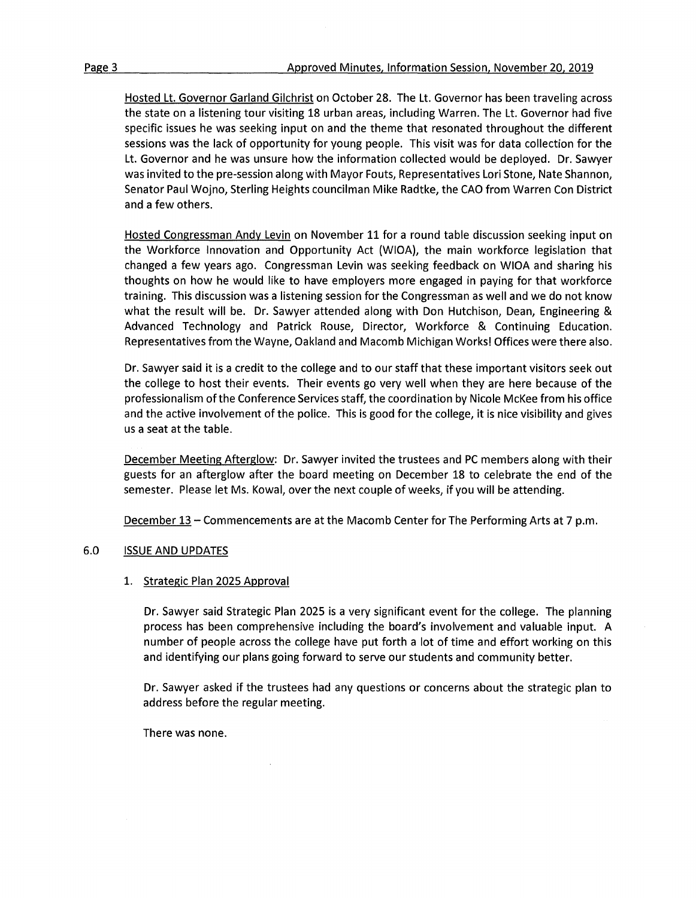Hosted Lt. Governor Garland Gilchrist on October 28. The Lt. Governor has been traveling across the state on a listening tour visiting 18 urban areas, including Warren. The Lt. Governor had five specific issues he was seeking input on and the theme that resonated throughout the different sessions was the lack of opportunity for young people. This visit was for data collection for the Lt. Governor and he was unsure how the information collected would be deployed. Dr. Sawyer was invited to the pre-session along with Mayor Fouts, Representatives Lori Stone, Nate Shannon, Senator Paul Wojno, Sterling Heights councilman Mike Radtke, the CAO from Warren Con District and a few others.

Hosted Congressman Andy Levin on November 11 for a round table discussion seeking input on the Workforce Innovation and Opportunity Act (WIOA), the main workforce legislation that changed a few years ago. Congressman Levin was seeking feedback on WIOA and sharing his thoughts on how he would like to have employers more engaged in paying for that workforce training. This discussion was a listening session for the Congressman as well and we do not know what the result will be. Dr. Sawyer attended along with Don Hutchison, Dean, Engineering & Advanced Technology and Patrick Rouse, Director, Workforce & Continuing Education. Representatives from the Wayne, Oakland and Macomb Michigan Works! Offices were there also.

Dr. Sawyer said it is a credit to the college and to our staff that these important visitors seek out the college to host their events. Their events go very well when they are here because of the professionalism of the Conference Services staff, the coordination by Nicole McKee from his office and the active involvement of the police. This is good for the college, it is nice visibility and gives us a seat at the table.

December Meeting Afterglow: Dr. Sawyer invited the trustees and PC members along with their guests for an afterglow after the board meeting on December 18 to celebrate the end of the semester. Please let Ms. Kowal, over the next couple of weeks, if you will be attending.

December 13 - Commencements are at the Macomb Center for The Performing Arts at 7 p.m.

# 6.0 ISSUE AND UPDATES

# 1. Strategic Plan 2025 Approval

Dr. Sawyer said Strategic Plan 2025 is a very significant event for the college. The planning process has been comprehensive including the board's involvement and valuable input. A number of people across the college have put forth a lot of time and effort working on this and identifying our plans going forward to serve our students and community better.

Dr. Sawyer asked if the trustees had any questions or concerns about the strategic plan to address before the regular meeting.

There was none.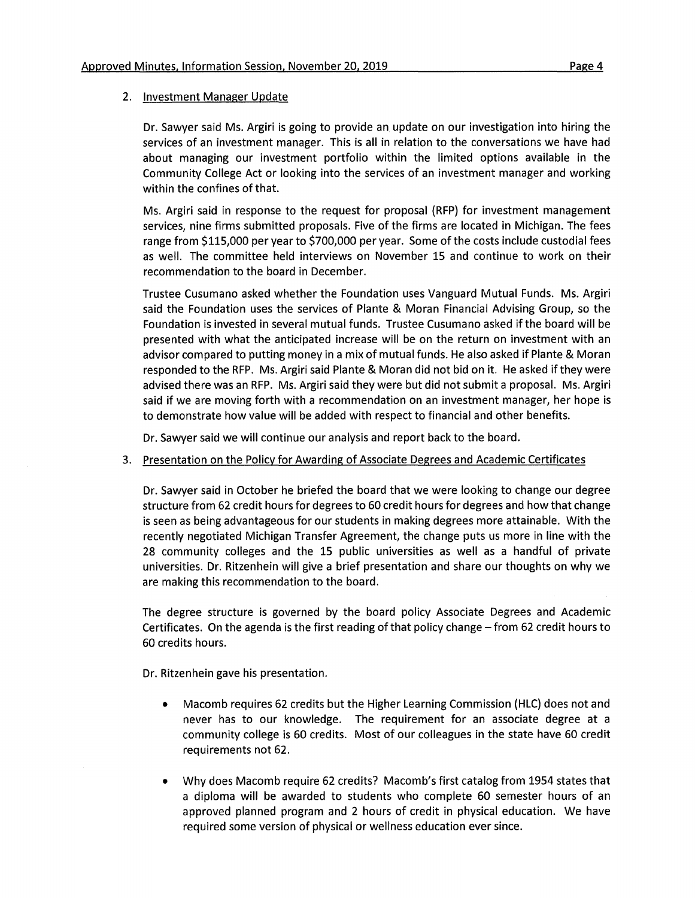#### 2. Investment Manager Update

Dr. Sawyer said Ms. Argiri is going to provide an update on our investigation into hiring the services of an investment manager. This is all in relation to the conversations we have had about managing our investment portfolio within the limited options available in the Community College Act or looking into the services of an investment manager and working within the confines of that.

Ms. Argiri said in response to the request for proposal (RFP) for investment management services, nine firms submitted proposals. Five of the firms are located in Michigan. The fees range from \$115,000 per year to \$700,000 per year. Some of the costs include custodial fees as well. The committee held interviews on November 15 and continue to work on their recommendation to the board in December.

Trustee Cusumano asked whether the Foundation uses Vanguard Mutual Funds. Ms. Argiri said the Foundation uses the services of Plante & Moran Financial Advising Group, so the Foundation is invested in several mutual funds. Trustee Cusumano asked if the board will be presented with what the anticipated increase will be on the return on investment with an advisor compared to putting money in a mix of mutual funds. He also asked if Plante & Moran responded to the RFP. Ms. Argiri said Plante & Moran did not bid on it. He asked if they were advised there was an RFP. Ms. Argiri said they were but did not submit a proposal. Ms. Argiri said if we are moving forth with a recommendation on an investment manager, her hope is to demonstrate how value will be added with respect to financial and other benefits.

Dr. Sawyer said we will continue our analysis and report back to the board.

3. Presentation on the Policy for Awarding of Associate Degrees and Academic Certificates

Dr. Sawyer said in October he briefed the board that we were looking to change our degree structure from 62 credit hours for degrees to 60 credit hours for degrees and how that change is seen as being advantageous for our students in making degrees more attainable. With the recently negotiated Michigan Transfer Agreement, the change puts us more in line with the 28 community colleges and the 15 public universities as well as a handful of private universities. Dr. Ritzenhein will give a brief presentation and share our thoughts on why we are making this recommendation to the board.

The degree structure is governed by the board policy Associate Degrees and Academic Certificates. On the agenda is the first reading of that policy change - from 62 credit hours to 60 credits hours.

Dr. Ritzenhein gave his presentation.

- Macomb requires 62 credits but the Higher Learning Commission (HLC) does not and never has to our knowledge. The requirement for an associate degree at a community college is 60 credits. Most of our colleagues in the state have 60 credit requirements not 62.
- Why does Macomb require 62 credits? Macomb's first catalog from 1954 states that a diploma will be awarded to students who complete 60 semester hours of an approved planned program and 2 hours of credit in physical education. We have required some version of physical or wellness education ever since.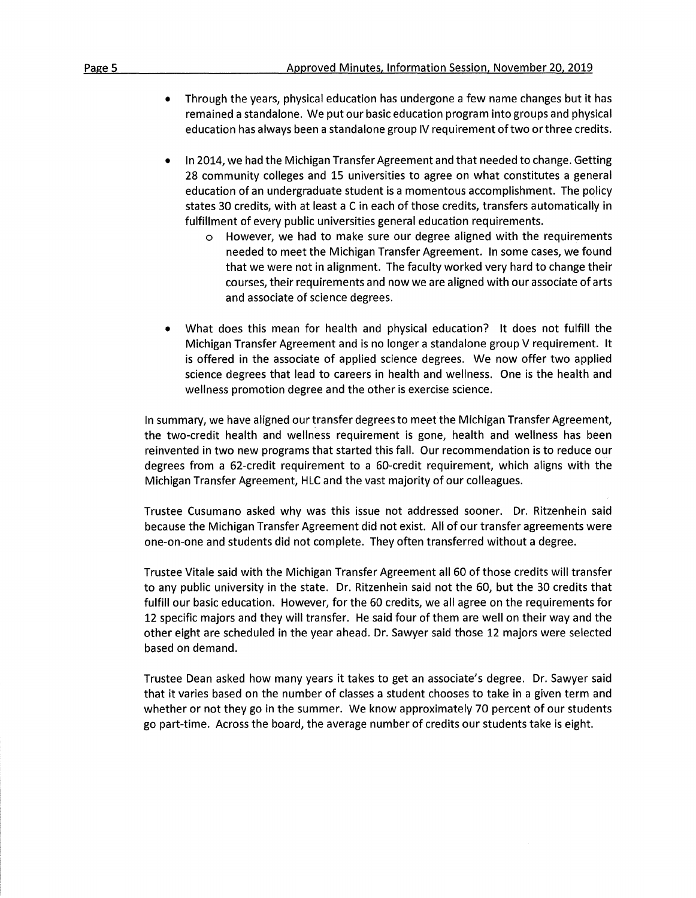- Through the years, physical education has undergone a few name changes but it has remained a standalone. We put our basic education program into groups and physical education has always been a standalone group IV requirement of two or three credits.
- In 2014, we had the Michigan Transfer Agreement and that needed to change. Getting 28 community colleges and 15 universities to agree on what constitutes a general education of an undergraduate student is a momentous accomplishment. The policy states 30 credits, with at least a C in each of those credits, transfers automatically in fulfillment of every public universities general education requirements.
	- However, we had to make sure our degree aligned with the requirements needed to meet the Michigan Transfer Agreement. In some cases, we found that we were not in alignment. The faculty worked very hard to change their courses, their requirements and now we are aligned with our associate of arts and associate of science degrees.
- What does this mean for health and physical education? It does not fulfill the Michigan Transfer Agreement and is no longer a standalone group V requirement. It is offered in the associate of applied science degrees. We now offer two applied science degrees that lead to careers in health and wellness. One is the health and wellness promotion degree and the other is exercise science.

In summary, we have aligned our transfer degrees to meet the Michigan Transfer Agreement, the two-credit health and wellness requirement is gone, health and wellness has been reinvented in two new programs that started this fall. Our recommendation is to reduce our degrees from a 62-credit requirement to a 60-credit requirement, which aligns with the Michigan Transfer Agreement, HLC and the vast majority of our colleagues.

Trustee Cusumano asked why was this issue not addressed sooner. Dr. Ritzenhein said because the Michigan Transfer Agreement did not exist. All of our transfer agreements were one-on-one and students did not complete. They often transferred without a degree.

Trustee Vitale said with the Michigan Transfer Agreement all 60 of those credits will transfer to any public university in the state. Dr. Ritzenhein said not the 60, but the 30 credits that fulfill our basic education. However, for the 60 credits, we all agree on the requirements for 12 specific majors and they will transfer. He said four of them are well on their way and the other eight are scheduled in the year ahead. Dr. Sawyer said those 12 majors were selected based on demand.

Trustee Dean asked how many years it takes to get an associate's degree. Dr. Sawyer said that it varies based on the number of classes a student chooses to take in a given term and whether or not they go in the summer. We know approximately 70 percent of our students go part-time. Across the board, the average number of credits our students take is eight.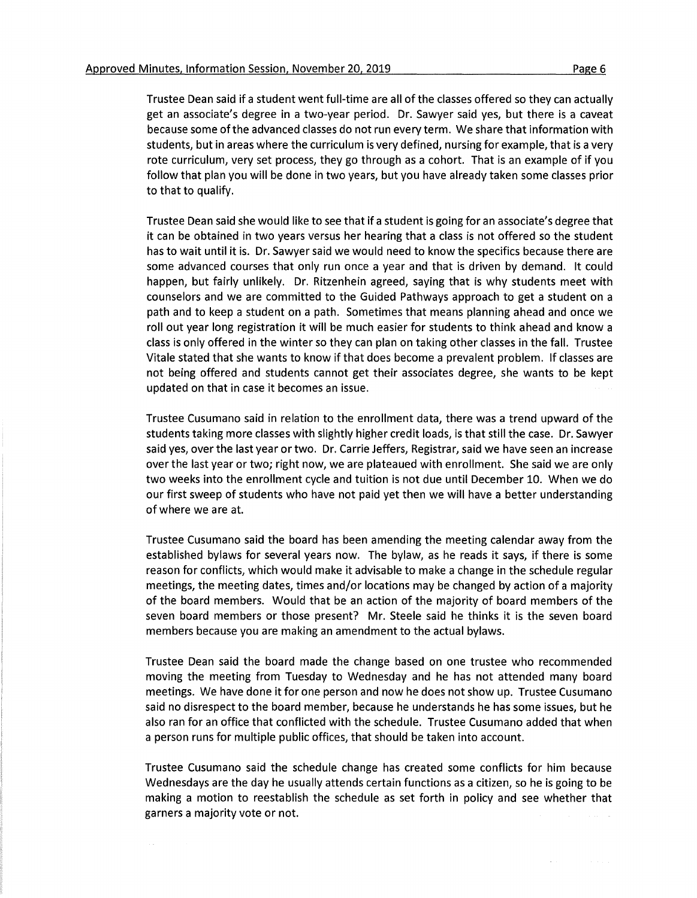Trustee Dean said if a student went full-time are all of the classes offered so they can actually get an associate's degree in a two-year period. Dr. Sawyer said yes, but there is a caveat because some of the advanced classes do not run every term. We share that information with students, but in areas where the curriculum is very defined, nursing for example, that is a very rote curriculum, very set process, they go through as a cohort. That is an example of if you follow that plan you will be done in two years, but you have already taken some classes prior to that to qualify.

Trustee Dean said she would like to see that if a student is going for an associate's degree that it can be obtained in two years versus her hearing that a class is not offered so the student has to wait until it is. Dr. Sawyer said we would need to know the specifics because there are some advanced courses that only run once a year and that is driven by demand. It could happen, but fairly unlikely. Dr. Ritzenhein agreed, saying that is why students meet with counselors and we are committed to the Guided Pathways approach to get a student on a path and to keep a student on a path. Sometimes that means planning ahead and once we roll out year long registration it will be much easier for students to think ahead and know a class is only offered in the winter so they can plan on taking other classes in the fall. Trustee Vitale stated that she wants to know if that does become a prevalent problem. If classes are not being offered and students cannot get their associates degree, she wants to be kept updated on that in case it becomes an issue.

Trustee Cusumano said in relation to the enrollment data, there was a trend upward of the students taking more classes with slightly higher credit loads, is that still the case. Dr. Sawyer said yes, over the last year or two. Dr. Carrie Jeffers, Registrar, said we have seen an increase over the last year or two; right now, we are plateaued with enrollment. She said we are only two weeks into the enrollment cycle and tuition is not due until December 10. When we do our first sweep of students who have not paid yet then we will have a better understanding of where we are at.

Trustee Cusumano said the board has been amending the meeting calendar away from the established bylaws for several years now. The bylaw, as he reads it says, if there is some reason for conflicts, which would make it advisable to make a change in the schedule regular meetings, the meeting dates, times and/or locations may be changed by action of a majority of the board members. Would that be an action of the majority of board members of the seven board members or those present? Mr. Steele said he thinks it is the seven board members because you are making an amendment to the actual bylaws.

Trustee Dean said the board made the change based on one trustee who recommended moving the meeting from Tuesday to Wednesday and he has not attended many board meetings. We have done it for one person and now he does not show up. Trustee Cusumano said no disrespect to the board member, because he understands he has some issues, but he also ran for an office that conflicted with the schedule. Trustee Cusumano added that when a person runs for multiple public offices, that should be taken into account.

Trustee Cusumano said the schedule change has created some conflicts for him because Wednesdays are the day he usually attends certain functions as a citizen, so he is going to be making a motion to reestablish the schedule as set forth in policy and see whether that garners a majority vote or not.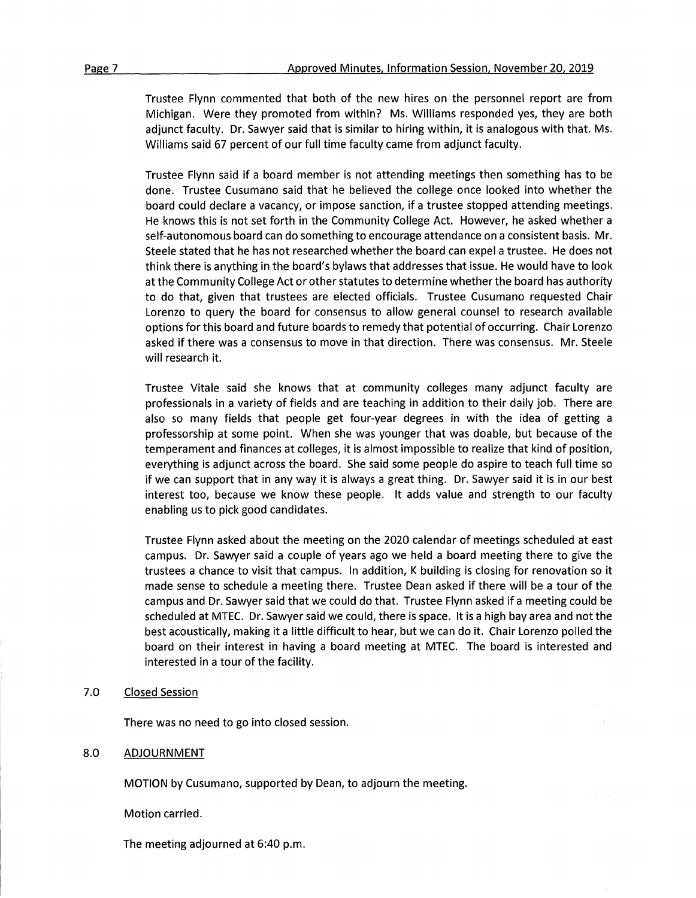Trustee Flynn commented that both of the new hires on the personnel report are from Michigan. Were they promoted from within? Ms. Williams responded yes, they are both adjunct faculty. Dr. Sawyer said that is similar to hiring within, it is analogous with that. Ms. Williams said 67 percent of our full time faculty came from adjunct faculty.

Trustee Flynn said if a board member is not attending meetings then something has to be done. Trustee Cusumano said that he believed the college once looked into whether the board could declare a vacancy, or impose sanction, if a trustee stopped attending meetings. He knows this is not set forth in the Community College Act. However, he asked whether a self-autonomous board can do something to encourage attendance on a consistent basis. Mr. Steele stated that he has not researched whether the board can expel a trustee. He does not think there is anything in the board's bylaws that addresses that issue. He would have to look at the Community College Act or other statutes to determine whether the board has authority to do that, given that trustees are elected officials. Trustee Cusumano requested Chair Lorenzo to query the board for consensus to allow general counsel to research available options for this board and future boards to remedy that potential of occurring. Chair Lorenzo asked if there was a consensus to move in that direction. There was consensus. Mr. Steele will research it.

Trustee Vitale said she knows that at community colleges many adjunct faculty are professionals in a variety of fields and are teaching in addition to their daily job. There are also so many fields that people get four-year degrees in with the idea of getting a professorship at some point. When she was younger that was doable, but because of the temperament and finances at colleges, it is almost impossible to realize that kind of position, everything is adjunct across the board. She said some people do aspire to teach full time so if we can support that in any way it is always a great thing. Dr. Sawyer said it is in our best interest too, because we know these people. It adds value and strength to our faculty enabling us to pick good candidates.

Trustee Flynn asked about the meeting on the 2020 calendar of meetings scheduled at east campus. Dr. Sawyer said a couple of years ago we held a board meeting there to give the trustees a chance to visit that campus. In addition, K building is closing for renovation so it made sense to schedule a meeting there. Trustee Dean asked if there will be a tour of the campus and Dr. Sawyer said that we could do that. Trustee Flynn asked if a meeting could be scheduled at MTEC. Dr. Sawyer said we could, there is space. It is a high bay area and not the best acoustically, making it a little difficult to hear, but we can do it. Chair Lorenzo polled the board on their interest in having a board meeting at MTEC. The board is interested and interested in a tour of the facility.

#### 7.0 Closed Session

There was no need to go into closed session.

#### 8.0 ADJOURNMENT

MOTION by Cusumano, supported by Dean, to adjourn the meeting.

Motion carried.

The meeting adjourned at 6:40 p.m.